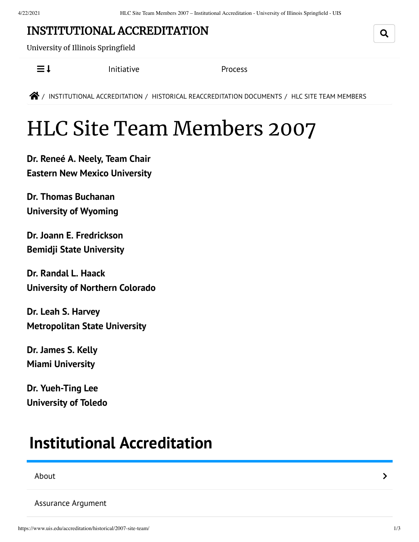### INSTITUTIONAL [ACCREDITATION](https://www.uis.edu/accreditation/)

University of Illinois Springfield

 $\equiv$  **I** [Initiative](https://www.uis.edu/accreditation/quality/) [Process](https://www.uis.edu/accreditation/about/)

 $\bigotimes$  / INSTITUTIONAL [ACCREDITATION](https://www.uis.edu/accreditation/) / HISTORICAL [REACCREDITATION](https://www.uis.edu/accreditation/historical/) DOCUMENTS / HLC SITE TEAM MEMBERS

# HLC Site Team Members 2007

**Dr. Reneé A. Neely, Team Chair Eastern New Mexico [University](http://www.enmu.edu/)**

**Dr. Thomas Buchanan [University](http://www.uwyo.edu/) of Wyoming**

**Dr. Joann E. Fredrickson Bemidji State [University](http://www.bemidjistate.edu/)**

**Dr. Randal L. Haack [University](http://www.unco.edu/) of Northern Colorado**

**Dr. Leah S. Harvey [Metropolitan](http://www.metrostate.edu/) State University**

**Dr. James S. Kelly Miami [University](http://www.miami.muohio.edu/)**

**Dr. Yueh-Ting Lee [University](http://www.utoledo.edu/) of Toledo**

## <span id="page-0-0"></span>**Institutional [Accreditation](https://www.uis.edu/accreditation/)**

[About](https://www.uis.edu/accreditation/about/) the contract of the contract of the contract of the contract of the contract of the contract of the contract of the contract of the contract of the contract of the contract of the contract of the contract of the cont

[Assurance](https://www.uis.edu/accreditation/assurance/) Argument

Q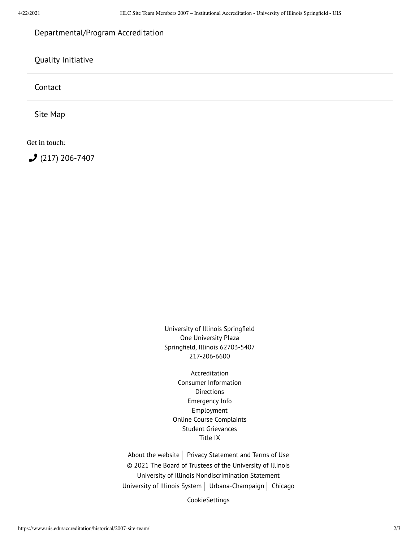### [Departmental/Program](https://www.uis.edu/accreditation/departmental-program-accreditation/) Accreditation

#### Quality [Initiative](https://www.uis.edu/accreditation/quality/)

[Contact](https://www.uis.edu/accreditation/contact/)

Site [Map](https://www.uis.edu/accreditation/sitemap/)

Get in touch:

 $(217)$  [206-7407](tel:(217)%20206-7407)

University of Illinois Springfield One University Plaza Springfield, Illinois 62703-5407 217-206-6600

[Accreditation](https://www.uis.edu/accreditation/) Consumer [Information](https://www.uis.edu/about/student-consumer-information/) **[Directions](https://www.uis.edu/about/visit/drivingdirections/)** [Emergency](https://www.uis.edu/emergencies/) Info [Employment](https://jobs.uis.edu/) Online Course [Complaints](https://forms.uofi.uis.edu/sec/6417829) Student [Grievances](https://www.uis.edu/academicaffairs/departmentofeducationcomplaintprocess/) [Title](https://www.uis.edu/titleix/) IX

About the [website](https://www.uis.edu/about/explore/website/)  $\vert$  Privacy [Statement](https://www.vpaa.uillinois.edu/resources/web_privacy) and Terms of Use © 2021 The Board of Trustees of the University of Illinois University of Illinois [Nondiscrimination](https://www.hr.uillinois.edu/cms/One.aspx?portalId=4292&pageId=5671) Statement [University](https://www.uillinois.edu/) of Illinois System | [Urbana-Champaign](https://illinois.edu/) | [Chicago](http://www.uic.edu/)

CookieSettings